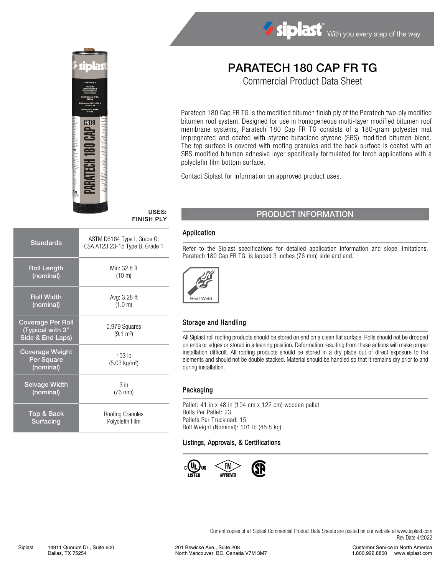

# Siplast With you every step of the way

## PARATECH 180 CAP FR TG

Commercial Product Data Sheet

Paratech 180 Cap FR TG is the modified bitumen finish ply of the Paratech two-ply modified bitumen roof system. Designed for use in homogeneous multi-layer modified bitumen roof membrane systems, Paratech 180 Cap FR TG consists of a 180-gram polyester mat impregnated and coated with styrene-butadiene-styrene (SBS) modified bitumen blend. The top surface is covered with roofing granules and the back surface is coated with an SBS modified bitumen adhesive layer specifically formulated for torch applications with a polyolefin film bottom surface.

Contact Siplast for information on approved product uses.

| <b>Standards</b>                                                 | ASTM D6164 Type I, Grade G;<br>CSA A123.23-15 Type B, Grade 1 |  |  |
|------------------------------------------------------------------|---------------------------------------------------------------|--|--|
| <b>Roll Length</b>                                               | Min: 32.8 ft                                                  |  |  |
| (nominal)                                                        | $(10 \text{ m})$                                              |  |  |
| <b>Roll Width</b>                                                | Avg: 3.28 ft                                                  |  |  |
| (nominal)                                                        | (1.0 m)                                                       |  |  |
| <b>Coverage Per Roll</b><br>(Typical with 3"<br>Side & End Laps) | 0.979 Squares<br>$(9.1 \text{ m}^2)$                          |  |  |
| <b>Coverage Weight</b><br>Per Square<br>(nominal)                | $103$ lb<br>(5.03 kg/m <sup>2</sup> )                         |  |  |
| <b>Selvage Width</b>                                             | 3 <sub>in</sub>                                               |  |  |
| (nominal)                                                        | $(76$ mm $)$                                                  |  |  |
| Top & Back                                                       | Roofing Granules                                              |  |  |
| Surfacing                                                        | Polyolefin Film                                               |  |  |

### USES: USES: PRODUCT INFORMATION

#### Application

Refer to the Siplast specifications for detailed application information and slope limitations. Paratech 180 Cap FR TG is lapped 3 inches (76 mm) side and end.



#### Storage and Handling

All Siplast roll roofing products should be stored on end on a clean flat surface. Rolls should not be dropped on ends or edges or stored in a leaning position. Deformation resulting from these actions will make proper installation difficult. All roofing products should be stored in a dry place out of direct exposure to the elements and should not be double stacked. Material should be handled so that it remains dry prior to and during installation.

#### Packaging

Pallet: 41 in x 48 in (104 cm x 122 cm) wooden pallet Rolls Per Pallet: 23 Pallets Per Truckload: 15 Roll Weight (Nominal): 101 lb (45.8 kg)

#### Listings, Approvals, & Certifications



Current copies of all Siplast Commercial Product Data Sheets are posted on our website at [www.siplast.com](http://www.siplast.com/) Rev Date 4/2022

201 Bewicke Ave., Suite 208 North Vancouver, BC, Canada V7M 3M7

Customer Service in North America 1.800.922.8800 www.siplast.com